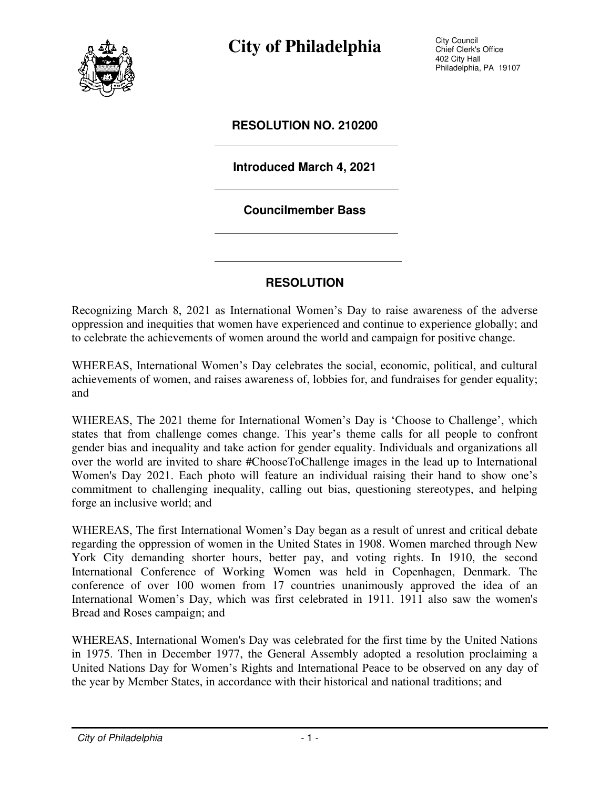

**City of Philadelphia** City Council

Chief Clerk's Office 402 City Hall Philadelphia, PA 19107

### **RESOLUTION NO. 210200**

### **Introduced March 4, 2021**

#### **Councilmember Bass**

### **RESOLUTION**

Recognizing March 8, 2021 as International Women's Day to raise awareness of the adverse oppression and inequities that women have experienced and continue to experience globally; and to celebrate the achievements of women around the world and campaign for positive change.

WHEREAS, International Women's Day celebrates the social, economic, political, and cultural achievements of women, and raises awareness of, lobbies for, and fundraises for gender equality; and

WHEREAS, The 2021 theme for International Women's Day is 'Choose to Challenge', which states that from challenge comes change. This year's theme calls for all people to confront gender bias and inequality and take action for gender equality. Individuals and organizations all over the world are invited to share #ChooseToChallenge images in the lead up to International Women's Day 2021. Each photo will feature an individual raising their hand to show one's commitment to challenging inequality, calling out bias, questioning stereotypes, and helping forge an inclusive world; and

WHEREAS, The first International Women's Day began as a result of unrest and critical debate regarding the oppression of women in the United States in 1908. Women marched through New York City demanding shorter hours, better pay, and voting rights. In 1910, the second International Conference of Working Women was held in Copenhagen, Denmark. The conference of over 100 women from 17 countries unanimously approved the idea of an International Women's Day, which was first celebrated in 1911. 1911 also saw the women's Bread and Roses campaign; and

WHEREAS, International Women's Day was celebrated for the first time by the United Nations in 1975. Then in December 1977, the General Assembly adopted a resolution proclaiming a United Nations Day for Women's Rights and International Peace to be observed on any day of the year by Member States, in accordance with their historical and national traditions; and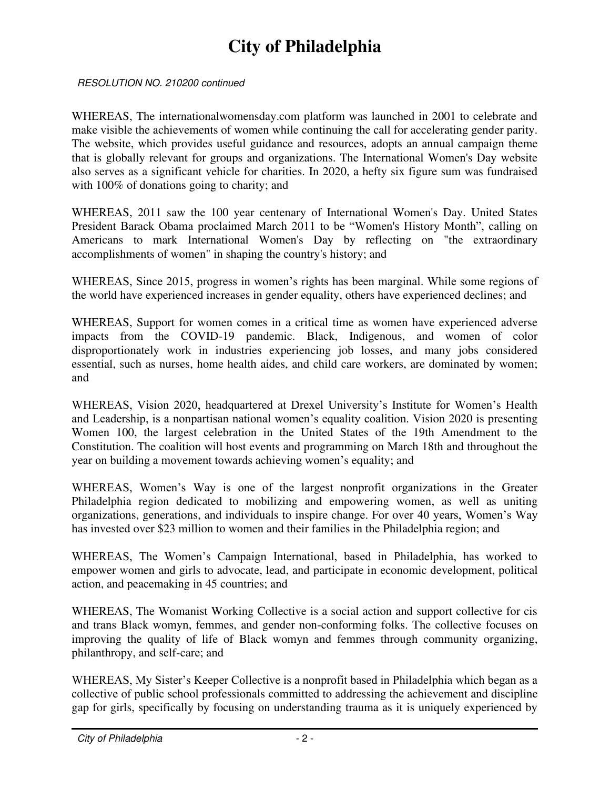## **City of Philadelphia**

RESOLUTION NO. 210200 continued

WHEREAS, The internationalwomensday.com platform was launched in 2001 to celebrate and make visible the achievements of women while continuing the call for accelerating gender parity. The website, which provides useful guidance and resources, adopts an annual campaign theme that is globally relevant for groups and organizations. The International Women's Day website also serves as a significant vehicle for charities. In 2020, a hefty six figure sum was fundraised with 100% of donations going to charity; and

WHEREAS, 2011 saw the 100 year centenary of International Women's Day. United States President Barack Obama proclaimed March 2011 to be "Women's History Month", calling on Americans to mark International Women's Day by reflecting on "the extraordinary accomplishments of women" in shaping the country's history; and

WHEREAS, Since 2015, progress in women's rights has been marginal. While some regions of the world have experienced increases in gender equality, others have experienced declines; and

WHEREAS, Support for women comes in a critical time as women have experienced adverse impacts from the COVID-19 pandemic. Black, Indigenous, and women of color disproportionately work in industries experiencing job losses, and many jobs considered essential, such as nurses, home health aides, and child care workers, are dominated by women; and

WHEREAS, Vision 2020, headquartered at Drexel University's Institute for Women's Health and Leadership, is a nonpartisan national women's equality coalition. Vision 2020 is presenting Women 100, the largest celebration in the United States of the 19th Amendment to the Constitution. The coalition will host events and programming on March 18th and throughout the year on building a movement towards achieving women's equality; and

WHEREAS, Women's Way is one of the largest nonprofit organizations in the Greater Philadelphia region dedicated to mobilizing and empowering women, as well as uniting organizations, generations, and individuals to inspire change. For over 40 years, Women's Way has invested over \$23 million to women and their families in the Philadelphia region; and

WHEREAS, The Women's Campaign International, based in Philadelphia, has worked to empower women and girls to advocate, lead, and participate in economic development, political action, and peacemaking in 45 countries; and

WHEREAS, The Womanist Working Collective is a social action and support collective for cis and trans Black womyn, femmes, and gender non-conforming folks. The collective focuses on improving the quality of life of Black womyn and femmes through community organizing, philanthropy, and self-care; and

WHEREAS, My Sister's Keeper Collective is a nonprofit based in Philadelphia which began as a collective of public school professionals committed to addressing the achievement and discipline gap for girls, specifically by focusing on understanding trauma as it is uniquely experienced by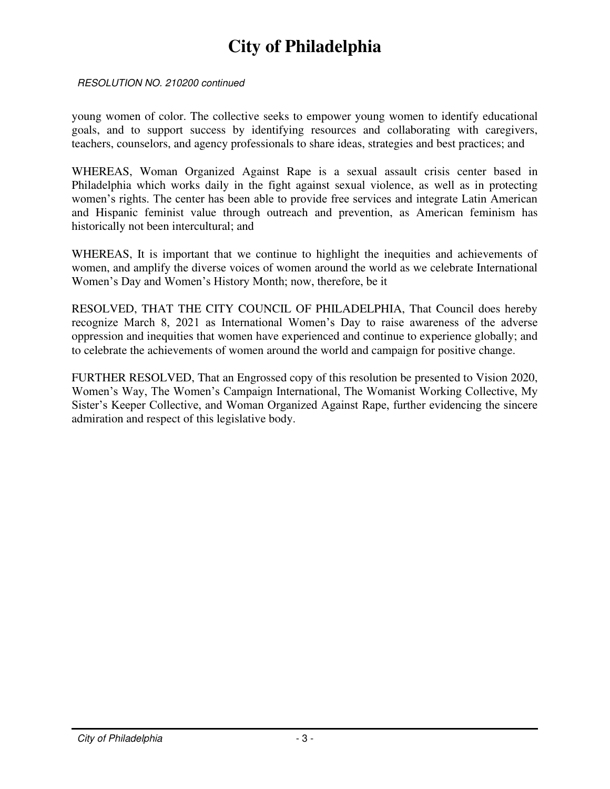### **City of Philadelphia**

#### RESOLUTION NO. 210200 continued

young women of color. The collective seeks to empower young women to identify educational goals, and to support success by identifying resources and collaborating with caregivers, teachers, counselors, and agency professionals to share ideas, strategies and best practices; and

WHEREAS, Woman Organized Against Rape is a sexual assault crisis center based in Philadelphia which works daily in the fight against sexual violence, as well as in protecting women's rights. The center has been able to provide free services and integrate Latin American and Hispanic feminist value through outreach and prevention, as American feminism has historically not been intercultural; and

WHEREAS, It is important that we continue to highlight the inequities and achievements of women, and amplify the diverse voices of women around the world as we celebrate International Women's Day and Women's History Month; now, therefore, be it

RESOLVED, THAT THE CITY COUNCIL OF PHILADELPHIA, That Council does hereby recognize March 8, 2021 as International Women's Day to raise awareness of the adverse oppression and inequities that women have experienced and continue to experience globally; and to celebrate the achievements of women around the world and campaign for positive change.

FURTHER RESOLVED, That an Engrossed copy of this resolution be presented to Vision 2020, Women's Way, The Women's Campaign International, The Womanist Working Collective, My Sister's Keeper Collective, and Woman Organized Against Rape, further evidencing the sincere admiration and respect of this legislative body.